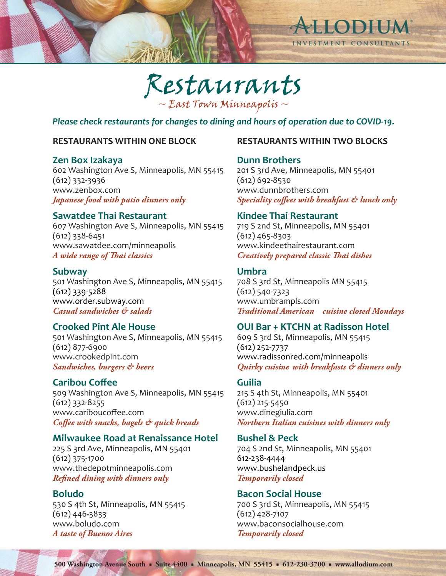



*Please check restaurants for changes to dining and hours of operation due to COVID-19.*

# **RESTAURANTS WITHIN ONE BLOCK**

# **Zen Box Izakaya**

602 Washington Ave S, Minneapolis, MN 55415 (612) 332-3936 www.zenbox.com *Japanese food with patio dinners only* 

# **Sawatdee Thai Restaurant**

607 Washington Ave S, Minneapolis, MN 55415 (612) 338-6451 www.sawatdee.com/minneapolis *A wide range of Thai classics*

# **Subway**

501 Washington Ave S, Minneapolis, MN 55415 (612) 339-5288 www.order.subway.com *Casual sandwiches & salads*

# **Crooked Pint Ale House**

501 Washington Ave S, Minneapolis, MN 55415 (612) 877-6900 www.crookedpint.com *Sandwiches, burgers & beers*

# **Caribou Coffee**

509 Washington Ave S, Minneapolis, MN 55415 (612) 332-8255 www.cariboucoffee.com *Coffee with snacks, bagels & quick breads*

# **Milwaukee Road at Renaissance Hotel**

225 S 3rd Ave, Minneapolis, MN 55401 (612) 375-1700 www.thedepotminneapolis.com *Refined dining with dinners only*

# **Boludo**

530 S 4th St, Minneapolis, MN 55415 (612) 446-3833 www.boludo.com *A taste of Buenos Aires*

# **RESTAURANTS WITHIN TWO BLOCKS**

# **Dunn Brothers**

201 S 3rd Ave, Minneapolis, MN 55401 (612) 692-8530 www.dunnbrothers.com *Speciality coffees with breakfast & lunch only*

# **Kindee Thai Restaurant**

719 S 2nd St, Minneapolis, MN 55401 (612) 465-8303 www.kindeethairestaurant.com *Creatively prepared classic Thai dishes*

# **Umbra**

708 S 3rd St, Minneapolis MN 55415 (612) 540-7323 www.umbrampls.com *Traditional American cuisine closed Mondays*

# **OUI Bar + KTCHN at Radisson Hotel**

609 S 3rd St, Minneapolis, MN 55415 (612) 252-7737 www.radissonred.com/minneapolis *Quirky cuisine with breakfasts & dinners only*

# **Guilia**

215 S 4th St, Minneapolis, MN 55401 (612) 215-5450 www.dinegiulia.com *Northern Italian cuisines with dinners only*

# **Bushel & Peck**

704 S 2nd St, Minneapolis, MN 55401 612-238-4444 www.bushelandpeck.us *Temporarily closed*

# **Bacon Social House**

700 S 3rd St, Minneapolis, MN 55415 (612) 428-7107 www.baconsocialhouse.com *Temporarily closed*